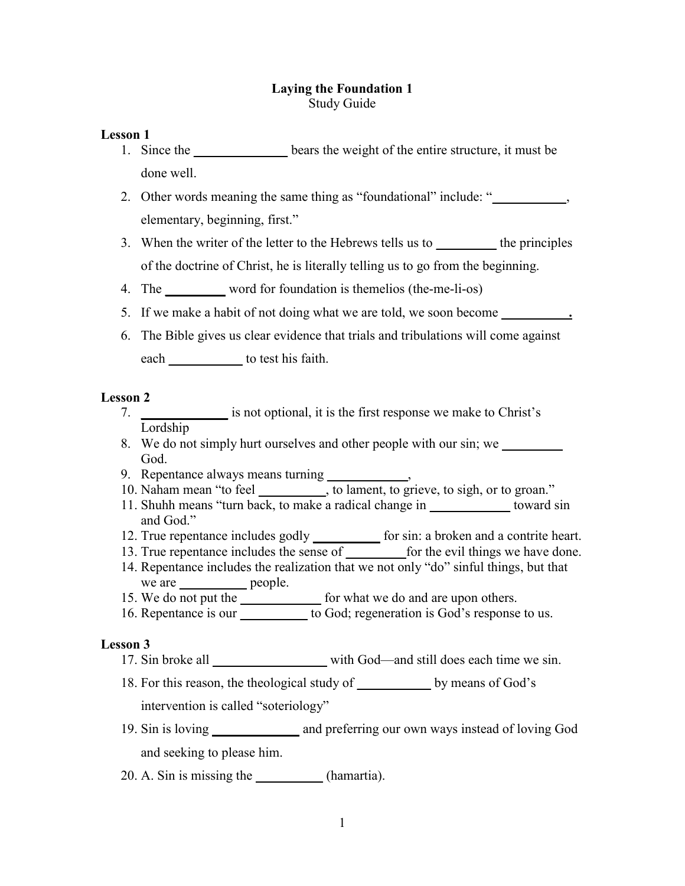## **Laying the Foundation 1** Study Guide

## **Lesson 1**

- 1. Since the **bears** the weight of the entire structure, it must be done well.
- 2. Other words meaning the same thing as "foundational" include: " elementary, beginning, first."
- 3. When the writer of the letter to the Hebrews tells us to **\_\_\_\_\_\_\_\_\_** the principles of the doctrine of Christ, he is literally telling us to go from the beginning.
- 4. The word for foundation is themelios (the-me-li-os)
- 5. If we make a habit of not doing what we are told, we soon become
- 6. The Bible gives us clear evidence that trials and tribulations will come against each **we** to test his faith.

## **Lesson 2**

- 7. **\_\_\_\_\_\_\_\_\_\_\_\_\_** is not optional, it is the first response we make to Christ's Lordship
- 8. We do not simply hurt ourselves and other people with our sin; we God.
- 9. Repentance always means turning **\_\_\_\_\_\_\_\_\_\_\_\_**,
- 10. Naham mean "to feel **\_\_\_\_\_\_\_\_\_\_**, to lament, to grieve, to sigh, or to groan."
- 11. Shuhh means "turn back, to make a radical change in **\_\_\_\_\_\_\_\_\_\_\_\_** toward sin and God."
- 12. True repentance includes godly **\_\_\_\_\_\_\_\_\_\_** for sin: a broken and a contrite heart.
- 13. True repentance includes the sense of **\_\_\_\_\_\_\_\_\_**for the evil things we have done.
- 14. Repentance includes the realization that we not only "do" sinful things, but that we are **\_\_\_\_\_\_\_\_\_\_** people.
- 15. We do not put the **\_\_\_\_\_\_\_\_\_\_\_\_** for what we do and are upon others.
- 16. Repentance is our **\_\_\_\_\_\_\_\_\_\_** to God; regeneration is God's response to us.

# **Lesson 3**

- 17. Sin broke all with God—and still does each time we sin.
- 18. For this reason, the theological study of **\_\_\_\_\_\_\_\_\_\_\_** by means of God's intervention is called "soteriology"
- 19. Sin is loving **\_\_\_\_\_\_\_\_\_\_\_\_\_** and preferring our own ways instead of loving God and seeking to please him.
- 20. A. Sin is missing the **\_\_\_\_\_\_\_\_\_\_** (hamartia).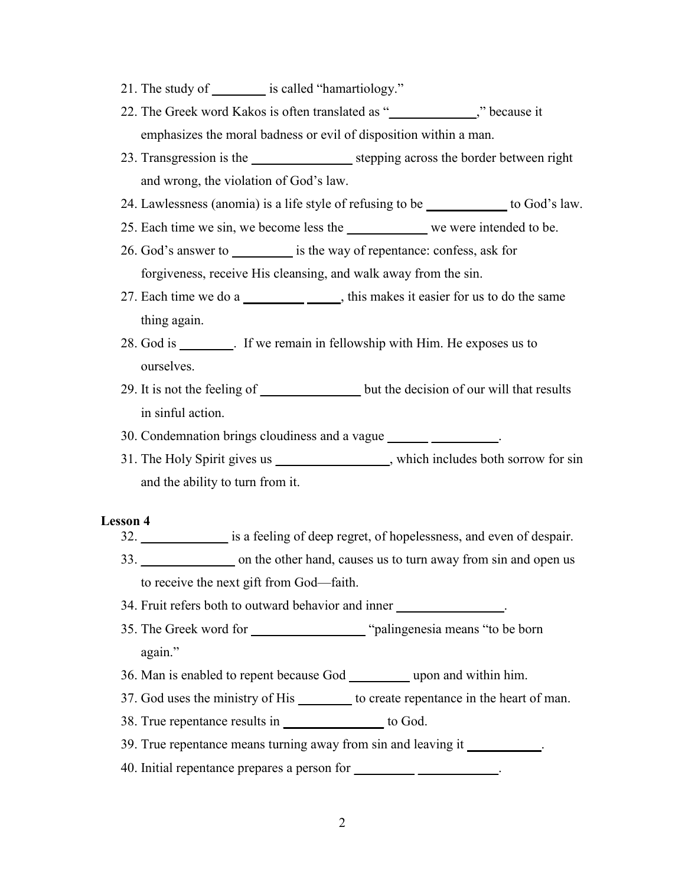- 21. The study of **\_\_\_\_\_\_\_\_** is called "hamartiology."
- 22. The Greek word Kakos is often translated as "**\_\_\_\_\_\_\_\_\_\_\_\_\_**," because it emphasizes the moral badness or evil of disposition within a man.
- 23. Transgression is the **\_\_\_\_\_\_\_\_\_\_\_\_\_\_\_** stepping across the border between right and wrong, the violation of God's law.
- 24. Lawlessness (anomia) is a life style of refusing to be **\_\_\_\_\_\_\_\_\_\_\_\_** to God's law.
- 25. Each time we sin, we become less the **\_\_\_\_\_\_\_\_\_\_\_\_** we were intended to be.
- 26. God's answer to **\_\_\_\_\_\_\_\_\_** is the way of repentance: confess, ask for forgiveness, receive His cleansing, and walk away from the sin.
- 27. Each time we do a **\_\_\_\_\_\_\_\_\_ \_\_\_\_\_**, this makes it easier for us to do the same thing again.
- 28. God is **\_\_\_\_\_\_\_\_**. If we remain in fellowship with Him. He exposes us to ourselves.
- 29. It is not the feeling of **\_\_\_\_\_\_\_\_\_\_\_\_\_\_\_** but the decision of our will that results in sinful action.

30. Condemnation brings cloudiness and a vague **\_\_\_\_\_\_ \_\_\_\_\_\_\_\_\_\_**.

31. The Holy Spirit gives us **\_\_\_\_\_\_\_\_\_\_\_\_\_\_\_\_\_**, which includes both sorrow for sin and the ability to turn from it.

## **Lesson 4**

- 32. **\_\_\_\_\_\_\_\_\_\_\_\_\_** is a feeling of deep regret, of hopelessness, and even of despair.
- 33. **\_\_\_\_\_\_\_\_\_\_\_\_\_\_** on the other hand, causes us to turn away from sin and open us to receive the next gift from God—faith.

34. Fruit refers both to outward behavior and inner **\_\_\_\_\_\_\_\_\_\_\_\_\_\_\_\_**.

- 35. The Greek word for **\_\_\_\_\_\_\_\_\_\_\_\_\_\_\_\_\_** "palingenesia means "to be born again."
- 36. Man is enabled to repent because God **\_\_\_\_\_\_\_\_\_** upon and within him.
- 37. God uses the ministry of His **\_\_\_\_\_\_\_\_** to create repentance in the heart of man.
- 38. True repentance results in **\_\_\_\_\_\_\_\_\_\_\_\_\_\_\_** to God.
- 39. True repentance means turning away from sin and leaving it **\_\_\_\_\_\_\_\_\_\_\_**.
- 40. Initial repentance prepares a person for **\_\_\_\_\_\_\_\_\_ \_\_\_\_\_\_\_\_\_\_\_\_**.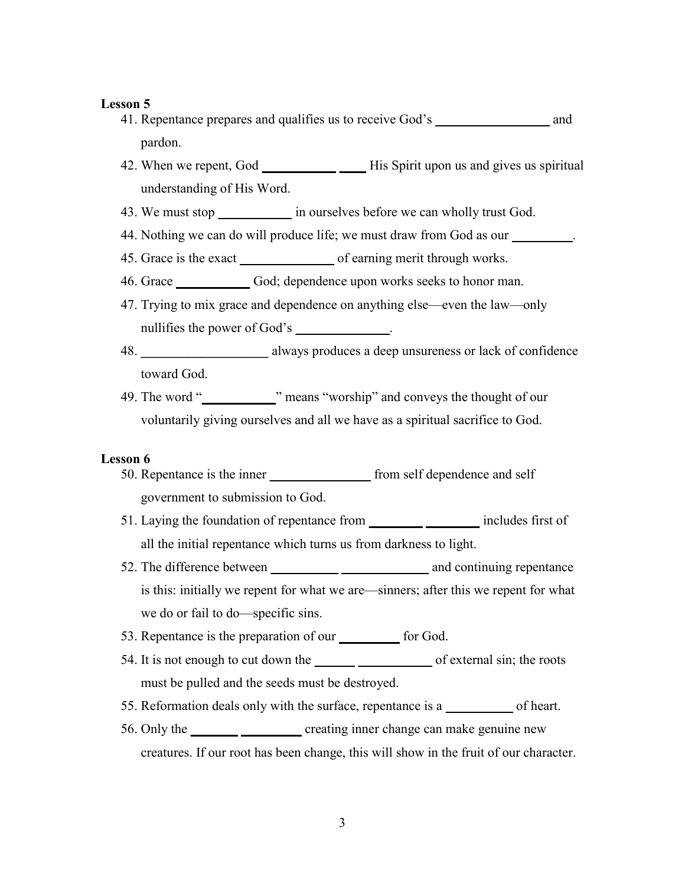- 41. Repentance prepares and qualifies us to receive God's **\_\_\_\_\_\_\_\_\_\_\_\_\_\_\_\_\_** and pardon.
- 42. When we repent, God **\_\_\_\_\_\_\_\_\_\_\_ \_\_\_\_** His Spirit upon us and gives us spiritual understanding of His Word.
- 43. We must stop **\_\_\_\_\_\_\_\_\_\_\_** in ourselves before we can wholly trust God.
- 44. Nothing we can do will produce life; we must draw from God as our
- 45. Grace is the exact **\_\_\_\_\_\_\_\_\_\_\_\_\_\_** of earning merit through works.
- 46. Grace **\_\_\_\_\_\_\_\_\_\_\_** God; dependence upon works seeks to honor man.
- 47. Trying to mix grace and dependence on anything else—even the law—only nullifies the power of God's
- 48. **\_\_\_\_\_\_\_\_\_\_\_\_\_\_\_\_\_\_\_** always produces a deep unsureness or lack of confidence toward God.
- 49. The word "**<sup>means "worship"** and conveys the thought of our</sup> voluntarily giving ourselves and all we have as a spiritual sacrifice to God.

#### **Lesson 6**

- 50. Repentance is the inner **\_\_\_\_\_\_\_\_\_\_\_\_\_\_\_** from self dependence and self government to submission to God.
- 51. Laying the foundation of repentance from **\_\_\_\_\_\_\_\_ \_\_\_\_\_\_\_\_** includes first of all the initial repentance which turns us from darkness to light.
- 52. The difference between **\_\_\_\_\_\_\_\_\_\_ \_\_\_\_\_\_\_\_\_\_\_\_\_** and continuing repentance is this: initially we repent for what we are—sinners; after this we repent for what we do or fail to do—specific sins.
- 53. Repentance is the preparation of our **\_\_\_\_\_\_\_\_\_** for God.
- 54. It is not enough to cut down the **\_\_\_\_\_ \_\_\_\_\_\_\_** of external sin; the roots must be pulled and the seeds must be destroyed.
- 55. Reformation deals only with the surface, repentance is a **\_\_\_\_\_\_\_\_\_\_** of heart.
- 56. Only the **\_\_\_\_\_\_\_ \_\_\_\_\_\_\_\_\_** creating inner change can make genuine new creatures. If our root has been change, this will show in the fruit of our character.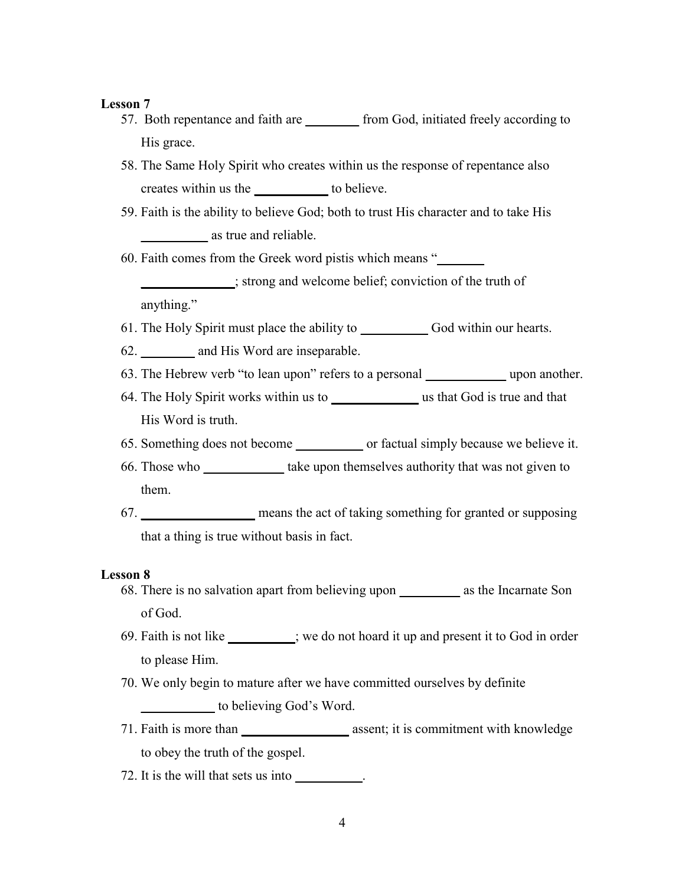- 57. Both repentance and faith are **the state of the from God, initiated freely according to** His grace.
- 58. The Same Holy Spirit who creates within us the response of repentance also creates within us the **\_\_\_\_\_\_\_\_\_\_\_** to believe.
- 59. Faith is the ability to believe God; both to trust His character and to take His **\_\_\_\_\_\_\_\_\_\_** as true and reliable.

60. Faith comes from the Greek word pistis which means "**\_\_\_\_\_\_\_**

**\_\_\_\_\_\_\_\_\_\_\_\_\_\_**; strong and welcome belief; conviction of the truth of anything."

- 61. The Holy Spirit must place the ability to **\_\_\_\_\_\_\_\_\_\_** God within our hearts.
- 62. **\_\_\_\_\_\_\_\_** and His Word are inseparable.
- 63. The Hebrew verb "to lean upon" refers to a personal **\_\_\_\_\_\_\_\_\_\_\_\_** upon another.
- 64. The Holy Spirit works within us to **\_\_\_\_\_\_\_\_\_\_\_\_\_** us that God is true and that His Word is truth.
- 65. Something does not become **\_\_\_\_\_\_\_\_\_\_** or factual simply because we believe it.
- 66. Those who **\_\_\_\_\_\_\_\_\_\_\_\_** take upon themselves authority that was not given to them.
- 67. **\_\_\_\_\_\_\_\_\_\_\_\_\_\_\_\_\_** means the act of taking something for granted or supposing that a thing is true without basis in fact.

## **Lesson 8**

- 68. There is no salvation apart from believing upon **\_\_\_\_\_\_\_\_\_** as the Incarnate Son of God.
- 69. Faith is not like **\_\_\_\_\_\_\_\_\_\_**; we do not hoard it up and present it to God in order to please Him.
- 70. We only begin to mature after we have committed ourselves by definite **\_\_\_\_\_\_\_\_\_\_\_** to believing God's Word.
- 71. Faith is more than **\_\_\_\_\_\_\_\_\_\_\_\_\_\_\_\_** assent; it is commitment with knowledge to obey the truth of the gospel.
- 72. It is the will that sets us into **\_\_\_\_\_\_\_\_\_\_**.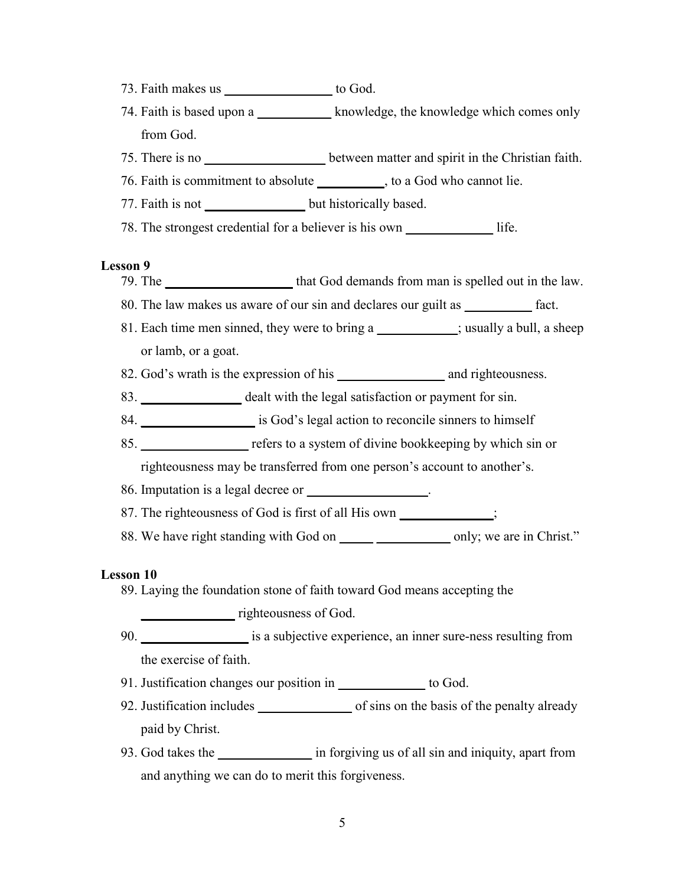- 73. Faith makes us **\_\_\_\_\_\_\_\_\_\_\_\_\_\_\_\_** to God.
- 74. Faith is based upon a **\_\_\_\_\_\_\_\_\_\_\_** knowledge, the knowledge which comes only from God.
- 75. There is no **\_\_\_\_\_\_\_\_\_\_\_\_\_\_\_\_\_\_** between matter and spirit in the Christian faith.
- 76. Faith is commitment to absolute **\_\_\_\_\_\_\_\_\_\_**, to a God who cannot lie.
- 77. Faith is not **but historically based**.
- 78. The strongest credential for a believer is his own **\_\_\_\_\_\_\_\_\_\_\_\_\_** life.

- 79. The **\_\_\_\_\_\_\_\_\_\_\_\_\_\_\_\_\_\_\_** that God demands from man is spelled out in the law.
- 80. The law makes us aware of our sin and declares our guilt as **\_\_\_\_\_\_\_\_\_\_** fact.
- 81. Each time men sinned, they were to bring a **\_\_\_\_\_\_\_\_\_\_\_\_**; usually a bull, a sheep or lamb, or a goat.
- 82. God's wrath is the expression of his \_\_\_\_\_\_\_\_\_\_\_\_\_\_\_\_ and righteousness.
- 83. **\_\_\_\_\_\_\_\_\_\_\_\_\_\_\_** dealt with the legal satisfaction or payment for sin.
- 84. **\_\_\_\_\_\_\_\_\_\_\_\_\_\_\_\_\_** is God's legal action to reconcile sinners to himself
- 85. **\_\_\_\_\_\_\_\_\_\_\_\_\_\_\_\_** refers to a system of divine bookkeeping by which sin or

righteousness may be transferred from one person's account to another's.

- 86. Imputation is a legal decree or **\_\_\_\_\_\_\_\_\_\_\_\_\_\_\_\_\_\_**.
- 87. The righteousness of God is first of all His own **\_\_\_\_\_\_\_\_\_\_\_\_\_\_**;
- 88. We have right standing with God on **\_\_\_\_\_** \_\_\_\_\_\_\_\_\_\_\_ only; we are in Christ."

## **Lesson 10**

89. Laying the foundation stone of faith toward God means accepting the

**\_\_\_\_\_\_\_\_\_\_\_\_\_\_** righteousness of God.

- 90. **\_\_\_\_\_\_\_\_\_\_\_\_\_\_\_\_** is a subjective experience, an inner sure-ness resulting from the exercise of faith.
- 91. Justification changes our position in **\_\_\_\_\_\_\_\_\_\_\_\_\_** to God.
- 92. Justification includes **\_\_\_\_\_\_\_\_\_\_\_\_\_\_** of sins on the basis of the penalty already paid by Christ.
- 93. God takes the **\_\_\_\_\_\_\_\_\_\_\_\_\_\_** in forgiving us of all sin and iniquity, apart from and anything we can do to merit this forgiveness.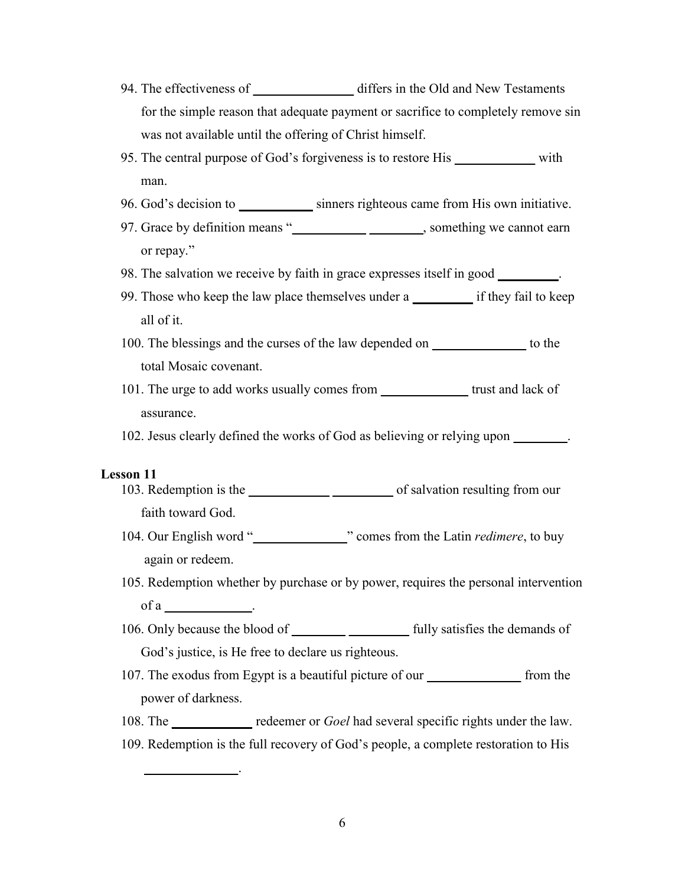- 94. The effectiveness of **\_\_\_\_\_\_\_\_\_\_\_\_\_\_\_** differs in the Old and New Testaments for the simple reason that adequate payment or sacrifice to completely remove sin was not available until the offering of Christ himself.
- 95. The central purpose of God's forgiveness is to restore His **\_\_\_\_\_\_\_\_\_\_\_\_** with man.
- 96. God's decision to **\_\_\_\_\_\_\_\_\_\_\_** sinners righteous came from His own initiative.
- 97. Grace by definition means "**\_\_\_\_\_\_\_\_\_\_\_ \_\_\_\_\_\_\_\_**, something we cannot earn or repay."
- 98. The salvation we receive by faith in grace expresses itself in good **\_\_\_\_\_\_\_\_\_**.
- 99. Those who keep the law place themselves under a **\_\_\_\_\_\_\_\_\_** if they fail to keep all of it.
- 100. The blessings and the curses of the law depended on **\_\_\_\_\_\_\_\_\_\_\_\_\_\_** to the total Mosaic covenant.
- 101. The urge to add works usually comes from **\_\_\_\_\_\_\_\_\_\_\_\_\_** trust and lack of assurance.
- 102. Jesus clearly defined the works of God as believing or relying upon **\_\_\_\_\_\_\_\_**.

**\_\_\_\_\_\_\_\_\_\_\_\_\_\_**.

- 103. Redemption is the **\_\_\_\_\_\_\_\_\_\_\_\_ \_\_\_\_\_\_\_\_\_** of salvation resulting from our faith toward God.
- 104. Our English word "**\_\_\_\_\_\_\_\_\_\_\_\_\_\_**" comes from the Latin *redimere*, to buy again or redeem.
- 105. Redemption whether by purchase or by power, requires the personal intervention of a **\_\_\_\_\_\_\_\_\_\_\_\_\_**.
- 106. Only because the blood of **\_\_\_\_\_\_\_\_ \_\_\_\_\_\_\_\_\_** fully satisfies the demands of God's justice, is He free to declare us righteous.
- 107. The exodus from Egypt is a beautiful picture of our **\_\_\_\_\_\_\_\_\_\_\_\_\_\_** from the power of darkness.
- 108. The **\_\_\_\_\_\_\_\_\_\_\_\_** redeemer or *Goel* had several specific rights under the law.
- 109. Redemption is the full recovery of God's people, a complete restoration to His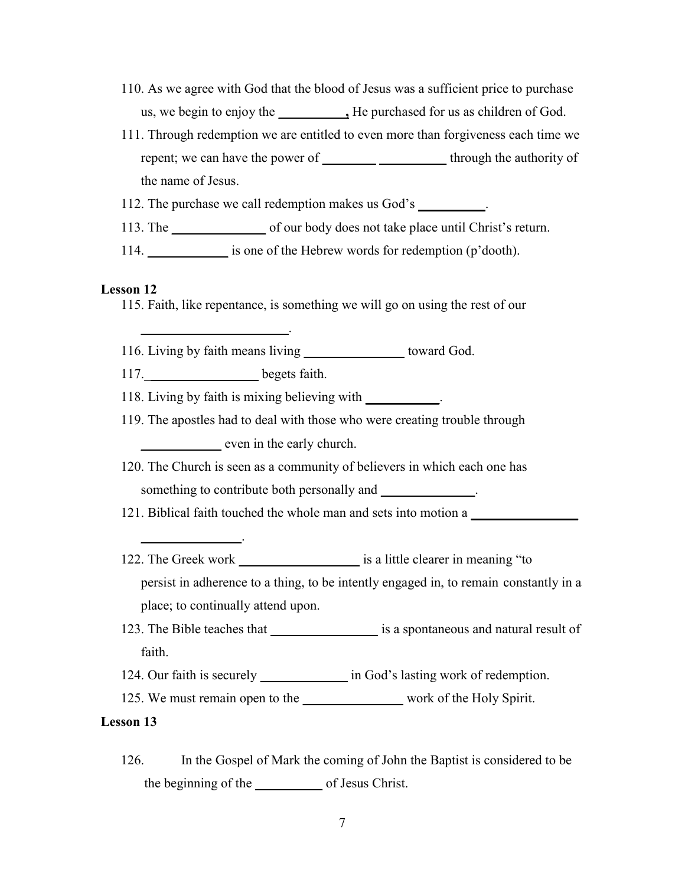- 110. As we agree with God that the blood of Jesus was a sufficient price to purchase us, we begin to enjoy the **\_\_\_\_\_\_\_\_**, He purchased for us as children of God.
- 111. Through redemption we are entitled to even more than forgiveness each time we repent; we can have the power of **\_\_\_\_\_\_\_\_ \_\_\_\_\_\_\_\_\_\_** through the authority of the name of Jesus.

112. The purchase we call redemption makes us God's **\_\_\_\_\_\_\_\_\_\_**.

- 113. The **\_\_\_\_\_\_\_\_\_\_\_\_\_\_** of our body does not take place until Christ's return.
- 114. **\_\_\_\_\_\_\_\_\_\_\_\_** is one of the Hebrew words for redemption (p'dooth).

#### **Lesson 12**

115. Faith, like repentance, is something we will go on using the rest of our

116. Living by faith means living **\_\_\_\_\_\_\_\_\_\_\_\_\_\_\_** toward God.

117.\_**\_\_\_\_\_\_\_\_\_\_\_\_\_\_\_\_** begets faith.

**\_\_\_\_\_\_\_\_\_\_\_\_\_\_\_**.

**\_\_\_\_\_\_\_\_\_\_\_\_\_\_\_\_\_\_\_\_\_\_**.

118. Living by faith is mixing believing with **\_\_\_\_\_\_\_\_\_\_\_**.

- 119. The apostles had to deal with those who were creating trouble through even in the early church.
- 120. The Church is seen as a community of believers in which each one has something to contribute both personally and **\_\_\_\_\_\_\_\_\_\_\_**.
- 121. Biblical faith touched the whole man and sets into motion a **\_\_\_\_\_\_\_\_\_\_\_\_\_\_\_\_**
- 122. The Greek work **\_\_\_\_\_\_\_\_\_\_\_\_\_\_\_\_\_\_** is a little clearer in meaning "to persist in adherence to a thing, to be intently engaged in, to remain constantly in a place; to continually attend upon.
- 123. The Bible teaches that **\_\_\_\_\_\_\_\_\_\_\_\_\_\_\_\_** is a spontaneous and natural result of faith.
- 124. Our faith is securely **\_\_\_\_\_\_\_\_\_\_\_\_\_** in God's lasting work of redemption.
- 125. We must remain open to the **\_\_\_\_\_\_\_\_\_\_\_\_\_\_\_** work of the Holy Spirit.

## **Lesson 13**

126. In the Gospel of Mark the coming of John the Baptist is considered to be the beginning of the **\_\_\_\_\_\_\_\_\_\_** of Jesus Christ.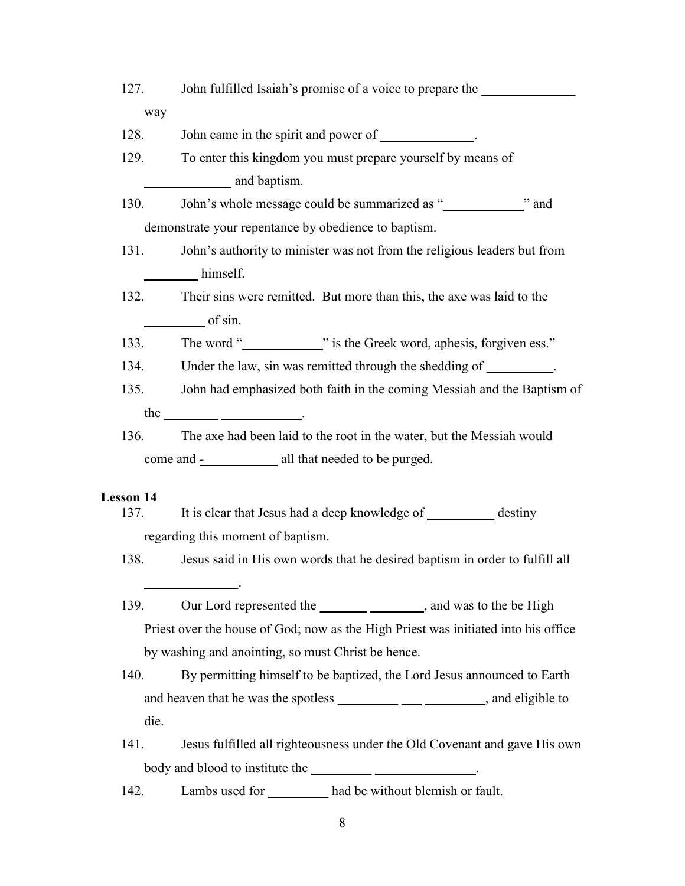| 127.             | John fulfilled Isaiah's promise of a voice to prepare the                                                                                                                                                                                                                                                                                                                                                        |  |  |
|------------------|------------------------------------------------------------------------------------------------------------------------------------------------------------------------------------------------------------------------------------------------------------------------------------------------------------------------------------------------------------------------------------------------------------------|--|--|
|                  | way                                                                                                                                                                                                                                                                                                                                                                                                              |  |  |
| 128.             | John came in the spirit and power of _____________.                                                                                                                                                                                                                                                                                                                                                              |  |  |
| 129.             | To enter this kingdom you must prepare yourself by means of                                                                                                                                                                                                                                                                                                                                                      |  |  |
|                  | and baptism.                                                                                                                                                                                                                                                                                                                                                                                                     |  |  |
| 130.             | John's whole message could be summarized as " in the message of the summarized as " in the message could be summarized as " in the message could be summarized as " in the message could be summarized as " in the message cou                                                                                                                                                                                   |  |  |
|                  | demonstrate your repentance by obedience to baptism.                                                                                                                                                                                                                                                                                                                                                             |  |  |
|                  | John's authority to minister was not from the religious leaders but from<br>131.                                                                                                                                                                                                                                                                                                                                 |  |  |
|                  | himself.                                                                                                                                                                                                                                                                                                                                                                                                         |  |  |
| 132.             | Their sins were remitted. But more than this, the axe was laid to the                                                                                                                                                                                                                                                                                                                                            |  |  |
|                  | $\frac{\ }{}$ of sin.                                                                                                                                                                                                                                                                                                                                                                                            |  |  |
|                  | The word " is the Greek word, aphesis, forgiven ess."<br>133.                                                                                                                                                                                                                                                                                                                                                    |  |  |
| 134.             | Under the law, sin was remitted through the shedding of __________.                                                                                                                                                                                                                                                                                                                                              |  |  |
| 135.             | John had emphasized both faith in the coming Messiah and the Baptism of                                                                                                                                                                                                                                                                                                                                          |  |  |
|                  | the $\frac{1}{\sqrt{1-\frac{1}{2}}\sqrt{1-\frac{1}{2}}\sqrt{1-\frac{1}{2}}\sqrt{1-\frac{1}{2}}\sqrt{1-\frac{1}{2}}\sqrt{1-\frac{1}{2}}\sqrt{1-\frac{1}{2}}\sqrt{1-\frac{1}{2}}\sqrt{1-\frac{1}{2}}\sqrt{1-\frac{1}{2}}\sqrt{1-\frac{1}{2}}\sqrt{1-\frac{1}{2}}\sqrt{1-\frac{1}{2}}\sqrt{1-\frac{1}{2}}\sqrt{1-\frac{1}{2}}\sqrt{1-\frac{1}{2}}\sqrt{1-\frac{1}{2}}\sqrt{1-\frac{1}{2}}\sqrt{1-\frac{1}{2}}\sqrt$ |  |  |
| 136.             | The axe had been laid to the root in the water, but the Messiah would                                                                                                                                                                                                                                                                                                                                            |  |  |
|                  | come and -_____________ all that needed to be purged.                                                                                                                                                                                                                                                                                                                                                            |  |  |
| <b>Lesson 14</b> |                                                                                                                                                                                                                                                                                                                                                                                                                  |  |  |
| 137.             | It is clear that Jesus had a deep knowledge of ___________ destiny                                                                                                                                                                                                                                                                                                                                               |  |  |
|                  | regarding this moment of baptism.                                                                                                                                                                                                                                                                                                                                                                                |  |  |
| 138.             | Jesus said in His own words that he desired baptism in order to fulfill all                                                                                                                                                                                                                                                                                                                                      |  |  |
| 139.             | Our Lord represented the ______________________, and was to the be High                                                                                                                                                                                                                                                                                                                                          |  |  |
|                  | Priest over the house of God; now as the High Priest was initiated into his office                                                                                                                                                                                                                                                                                                                               |  |  |
|                  | by washing and anointing, so must Christ be hence.                                                                                                                                                                                                                                                                                                                                                               |  |  |
| 140.             | By permitting himself to be baptized, the Lord Jesus announced to Earth                                                                                                                                                                                                                                                                                                                                          |  |  |
|                  | and heaven that he was the spotless ______________________________, and eligible to                                                                                                                                                                                                                                                                                                                              |  |  |
|                  | die.                                                                                                                                                                                                                                                                                                                                                                                                             |  |  |
| 141.             | Jesus fulfilled all righteousness under the Old Covenant and gave His own                                                                                                                                                                                                                                                                                                                                        |  |  |
|                  | body and blood to institute the                                                                                                                                                                                                                                                                                                                                                                                  |  |  |

142. Lambs used for **\_\_\_\_\_\_\_\_\_** had be without blemish or fault.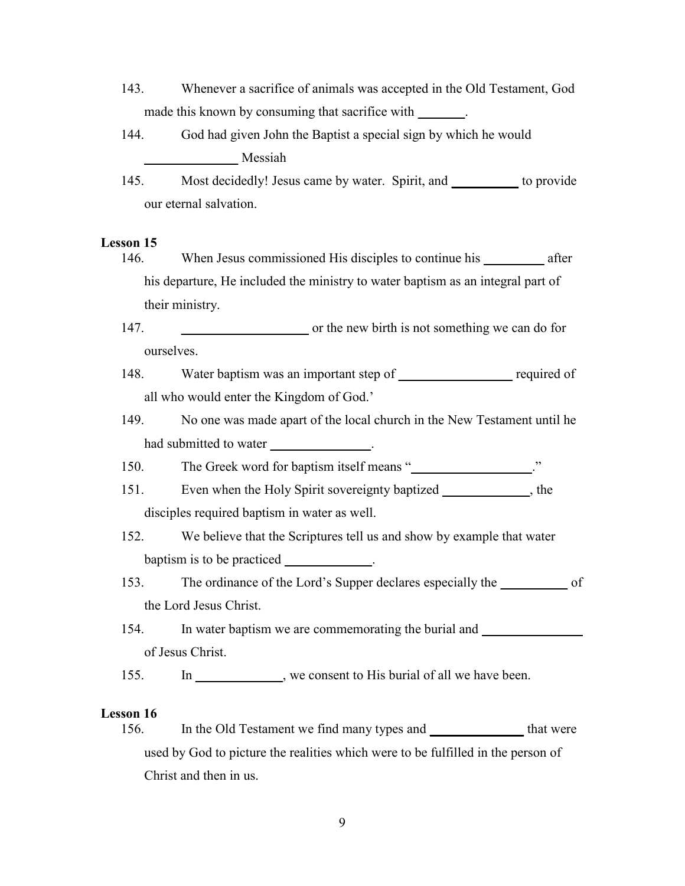- 143. Whenever a sacrifice of animals was accepted in the Old Testament, God made this known by consuming that sacrifice with \_\_\_\_\_\_\_.
- 144. God had given John the Baptist a special sign by which he would **\_\_\_\_\_\_\_\_\_\_\_\_\_\_** Messiah
- 145. Most decidedly! Jesus came by water. Spirit, and **\_\_\_\_\_\_\_\_\_\_** to provide our eternal salvation.

146. When Jesus commissioned His disciples to continue his **\_\_\_\_\_\_\_\_\_** after his departure, He included the ministry to water baptism as an integral part of their ministry.

147. **the new birth is not something we can do for** ourselves.

- 148. Water baptism was an important step of **\_\_\_\_\_\_\_\_\_\_\_\_\_\_\_\_\_** required of all who would enter the Kingdom of God.'
- 149. No one was made apart of the local church in the New Testament until he had submitted to water
- 150. The Greek word for baptism itself means "
- 151. Even when the Holy Spirit sovereignty baptized **\_\_\_\_\_\_\_\_\_\_\_\_\_**, the disciples required baptism in water as well.
- 152. We believe that the Scriptures tell us and show by example that water baptism is to be practiced **\_\_\_\_\_\_\_\_\_\_\_\_\_**.
- 153. The ordinance of the Lord's Supper declares especially the **\_\_\_\_\_\_\_\_\_\_** of the Lord Jesus Christ.
- 154. In water baptism we are commemorating the burial and **water** of Jesus Christ.

155. In \_\_\_\_\_\_\_\_\_, we consent to His burial of all we have been.

## **Lesson 16**

156. In the Old Testament we find many types and **\_\_\_\_\_\_\_\_\_\_\_\_\_\_** that were used by God to picture the realities which were to be fulfilled in the person of Christ and then in us.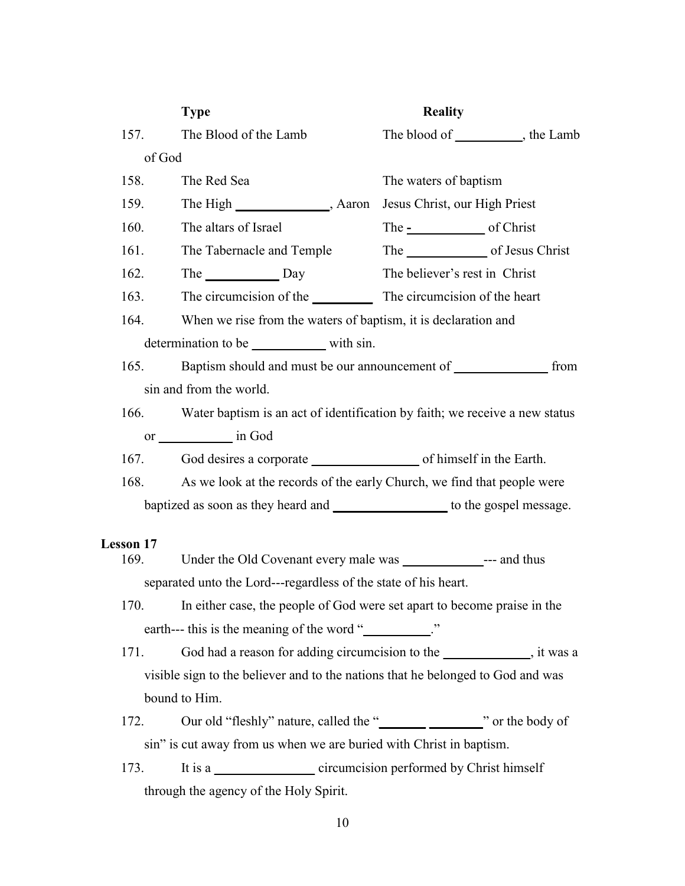|                                                                                | <b>Type</b>                                                                     | <b>Reality</b>                                                                   |  |  |
|--------------------------------------------------------------------------------|---------------------------------------------------------------------------------|----------------------------------------------------------------------------------|--|--|
| 157.                                                                           | The Blood of the Lamb                                                           | The blood of ____________, the Lamb                                              |  |  |
| of God                                                                         |                                                                                 |                                                                                  |  |  |
| 158.                                                                           | The Red Sea                                                                     | The waters of baptism                                                            |  |  |
| 159.                                                                           |                                                                                 | Jesus Christ, our High Priest                                                    |  |  |
| 160.                                                                           | The altars of Israel                                                            | The <u>-</u> of Christ                                                           |  |  |
| 161.                                                                           | The Tabernacle and Temple                                                       | The of Jesus Christ                                                              |  |  |
| 162.                                                                           | The Day                                                                         | The believer's rest in Christ                                                    |  |  |
|                                                                                | 163.                                                                            |                                                                                  |  |  |
|                                                                                | 164.<br>When we rise from the waters of baptism, it is declaration and          |                                                                                  |  |  |
| determination to be with sin.                                                  |                                                                                 |                                                                                  |  |  |
|                                                                                | Baptism should and must be our announcement of from<br>165.                     |                                                                                  |  |  |
| sin and from the world.                                                        |                                                                                 |                                                                                  |  |  |
|                                                                                |                                                                                 | 166. Water baptism is an act of identification by faith; we receive a new status |  |  |
|                                                                                |                                                                                 |                                                                                  |  |  |
|                                                                                |                                                                                 |                                                                                  |  |  |
| 168.                                                                           |                                                                                 | As we look at the records of the early Church, we find that people were          |  |  |
| baptized as soon as they heard and ____________________ to the gospel message. |                                                                                 |                                                                                  |  |  |
|                                                                                |                                                                                 |                                                                                  |  |  |
| <b>Lesson 17</b><br>169.                                                       |                                                                                 |                                                                                  |  |  |
| separated unto the Lord---regardless of the state of his heart.                |                                                                                 |                                                                                  |  |  |
|                                                                                | 170. In either case, the people of God were set apart to become praise in the   |                                                                                  |  |  |
| earth--- this is the meaning of the word "                                     |                                                                                 |                                                                                  |  |  |
| 171.                                                                           |                                                                                 | God had a reason for adding circumcision to the ______________, it was a         |  |  |
|                                                                                | visible sign to the believer and to the nations that he belonged to God and was |                                                                                  |  |  |
|                                                                                | bound to Him.                                                                   |                                                                                  |  |  |
| 172.                                                                           |                                                                                 |                                                                                  |  |  |
|                                                                                | sin" is cut away from us when we are buried with Christ in baptism.             |                                                                                  |  |  |
| 173.                                                                           |                                                                                 | It is a circumcision performed by Christ himself                                 |  |  |
| through the agency of the Holy Spirit.                                         |                                                                                 |                                                                                  |  |  |